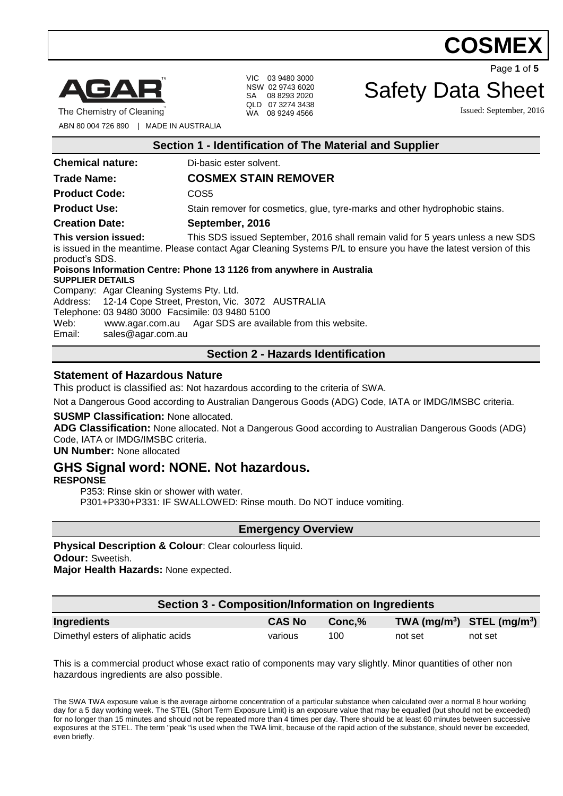

The Chemistry of Cleaning

VIC 03 9480 3000 NSW 02 9743 6020 SA 08 8293 2020 QLD 07 3274 3438 WA 08 9249 4566

Page **1** of **5**

# Safety Data Sheet

Issued: September, 2016

ABN 80 004 726 890 | MADE IN AUSTRALIA

| Section 1 - Identification of The Material and Supplier                                                                                                                                                                                                                                                                |                                                                             |  |  |  |
|------------------------------------------------------------------------------------------------------------------------------------------------------------------------------------------------------------------------------------------------------------------------------------------------------------------------|-----------------------------------------------------------------------------|--|--|--|
| <b>Chemical nature:</b>                                                                                                                                                                                                                                                                                                | Di-basic ester solvent.                                                     |  |  |  |
| <b>Trade Name:</b>                                                                                                                                                                                                                                                                                                     | <b>COSMEX STAIN REMOVER</b>                                                 |  |  |  |
| <b>Product Code:</b>                                                                                                                                                                                                                                                                                                   | COS5                                                                        |  |  |  |
| <b>Product Use:</b>                                                                                                                                                                                                                                                                                                    | Stain remover for cosmetics, glue, tyre-marks and other hydrophobic stains. |  |  |  |
| <b>Creation Date:</b>                                                                                                                                                                                                                                                                                                  | September, 2016                                                             |  |  |  |
| This version issued:<br>This SDS issued September, 2016 shall remain valid for 5 years unless a new SDS<br>is issued in the meantime. Please contact Agar Cleaning Systems P/L to ensure you have the latest version of this<br>product's SDS.<br>Poisons Information Centre: Phone 13 1126 from anywhere in Australia |                                                                             |  |  |  |
| <b>SUPPLIER DETAILS</b>                                                                                                                                                                                                                                                                                                |                                                                             |  |  |  |
| Company: Agar Cleaning Systems Pty. Ltd.                                                                                                                                                                                                                                                                               |                                                                             |  |  |  |
| Address: 12-14 Cope Street, Preston, Vic. 3072 AUSTRALIA<br>Telephone: 03 9480 3000 Facsimile: 03 9480 5100<br>www.agar.com.au Agar SDS are available from this website.<br>Web:<br>Email:<br>sales@agar.com.au                                                                                                        |                                                                             |  |  |  |
| <b>Section 2 - Hazards Identification</b>                                                                                                                                                                                                                                                                              |                                                                             |  |  |  |

#### **Statement of Hazardous Nature**

This product is classified as: Not hazardous according to the criteria of SWA.

Not a Dangerous Good according to Australian Dangerous Goods (ADG) Code, IATA or IMDG/IMSBC criteria.

#### **SUSMP Classification:** None allocated.

**ADG Classification:** None allocated. Not a Dangerous Good according to Australian Dangerous Goods (ADG) Code, IATA or IMDG/IMSBC criteria.

**UN Number:** None allocated

# **GHS Signal word: NONE. Not hazardous.**

#### **RESPONSE**

P353: Rinse skin or shower with water. P301+P330+P331: IF SWALLOWED: Rinse mouth. Do NOT induce vomiting.

**Emergency Overview**

**Physical Description & Colour**: Clear colourless liquid. **Odour:** Sweetish. **Major Health Hazards:** None expected.

**Section 3 - Composition/Information on Ingredients Ingredients CAS No Conc,% TWA (mg/m<sup>3</sup> ) STEL (mg/m<sup>3</sup> )** Dimethyl esters of aliphatic acids various 100 not set not set not set

This is a commercial product whose exact ratio of components may vary slightly. Minor quantities of other non hazardous ingredients are also possible.

The SWA TWA exposure value is the average airborne concentration of a particular substance when calculated over a normal 8 hour working day for a 5 day working week. The STEL (Short Term Exposure Limit) is an exposure value that may be equalled (but should not be exceeded) for no longer than 15 minutes and should not be repeated more than 4 times per day. There should be at least 60 minutes between successive exposures at the STEL. The term "peak "is used when the TWA limit, because of the rapid action of the substance, should never be exceeded, even briefly.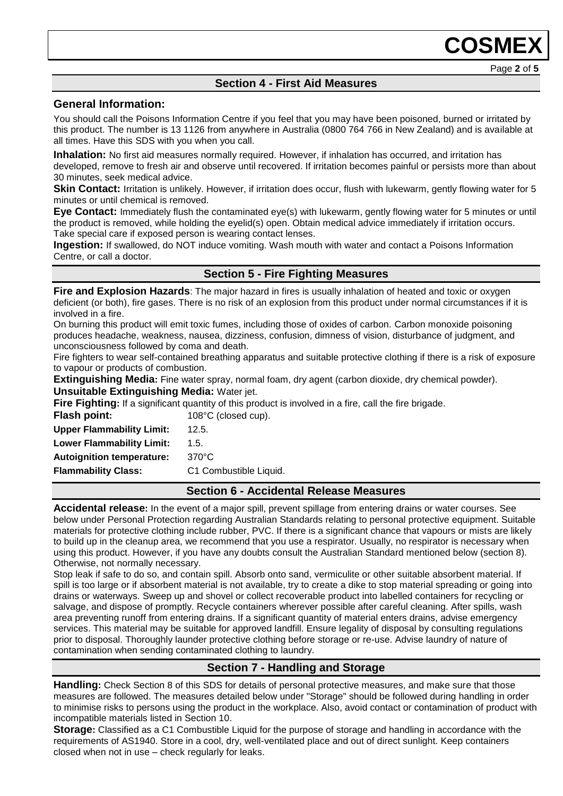# **Section 4 - First Aid Measures**

#### **General Information:**

You should call the Poisons Information Centre if you feel that you may have been poisoned, burned or irritated by this product. The number is 13 1126 from anywhere in Australia (0800 764 766 in New Zealand) and is available at all times. Have this SDS with you when you call.

**Inhalation:** No first aid measures normally required. However, if inhalation has occurred, and irritation has developed, remove to fresh air and observe until recovered. If irritation becomes painful or persists more than about 30 minutes, seek medical advice.

**Skin Contact:** Irritation is unlikely. However, if irritation does occur, flush with lukewarm, gently flowing water for 5 minutes or until chemical is removed.

**Eye Contact:** Immediately flush the contaminated eye(s) with lukewarm, gently flowing water for 5 minutes or until the product is removed, while holding the eyelid(s) open. Obtain medical advice immediately if irritation occurs. Take special care if exposed person is wearing contact lenses.

**Ingestion:** If swallowed, do NOT induce vomiting. Wash mouth with water and contact a Poisons Information Centre, or call a doctor.

### **Section 5 - Fire Fighting Measures**

**Fire and Explosion Hazards**: The major hazard in fires is usually inhalation of heated and toxic or oxygen deficient (or both), fire gases. There is no risk of an explosion from this product under normal circumstances if it is involved in a fire.

On burning this product will emit toxic fumes, including those of oxides of carbon. Carbon monoxide poisoning produces headache, weakness, nausea, dizziness, confusion, dimness of vision, disturbance of judgment, and unconsciousness followed by coma and death.

Fire fighters to wear self-contained breathing apparatus and suitable protective clothing if there is a risk of exposure to vapour or products of combustion.

**Extinguishing Media:** Fine water spray, normal foam, dry agent (carbon dioxide, dry chemical powder).

**Unsuitable Extinguishing Media:** Water jet.

**Fire Fighting:** If a significant quantity of this product is involved in a fire, call the fire brigade.

**Flash point:** 108°C (closed cup). **Upper Flammability Limit:** 12.5.

**Lower Flammability Limit:** 1.5. **Autoignition temperature:** 370°C

**Flammability Class:** C1 Combustible Liquid.

### **Section 6 - Accidental Release Measures**

**Accidental release:** In the event of a major spill, prevent spillage from entering drains or water courses. See below under Personal Protection regarding Australian Standards relating to personal protective equipment. Suitable materials for protective clothing include rubber, PVC. If there is a significant chance that vapours or mists are likely to build up in the cleanup area, we recommend that you use a respirator. Usually, no respirator is necessary when using this product. However, if you have any doubts consult the Australian Standard mentioned below (section 8). Otherwise, not normally necessary.

Stop leak if safe to do so, and contain spill. Absorb onto sand, vermiculite or other suitable absorbent material. If spill is too large or if absorbent material is not available, try to create a dike to stop material spreading or going into drains or waterways. Sweep up and shovel or collect recoverable product into labelled containers for recycling or salvage, and dispose of promptly. Recycle containers wherever possible after careful cleaning. After spills, wash area preventing runoff from entering drains. If a significant quantity of material enters drains, advise emergency services. This material may be suitable for approved landfill. Ensure legality of disposal by consulting regulations prior to disposal. Thoroughly launder protective clothing before storage or re-use. Advise laundry of nature of contamination when sending contaminated clothing to laundry.

# **Section 7 - Handling and Storage**

**Handling:** Check Section 8 of this SDS for details of personal protective measures, and make sure that those measures are followed. The measures detailed below under "Storage" should be followed during handling in order to minimise risks to persons using the product in the workplace. Also, avoid contact or contamination of product with incompatible materials listed in Section 10.

**Storage:** Classified as a C1 Combustible Liquid for the purpose of storage and handling in accordance with the requirements of AS1940. Store in a cool, dry, well-ventilated place and out of direct sunlight. Keep containers closed when not in use – check regularly for leaks.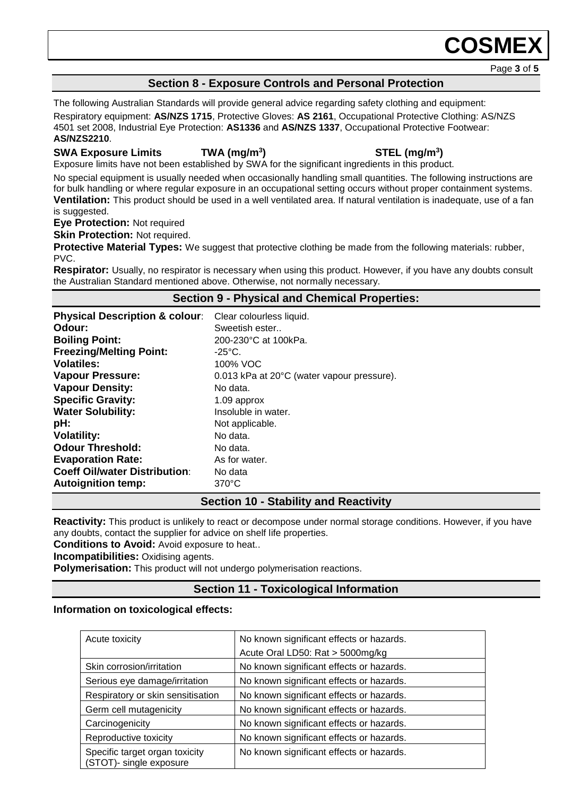Page **3** of **5**

### **Section 8 - Exposure Controls and Personal Protection**

The following Australian Standards will provide general advice regarding safety clothing and equipment: Respiratory equipment: **AS/NZS 1715**, Protective Gloves: **AS 2161**, Occupational Protective Clothing: AS/NZS 4501 set 2008, Industrial Eye Protection: **AS1336** and **AS/NZS 1337**, Occupational Protective Footwear: **AS/NZS2210**.

#### **SWA Exposure Limits TWA (mg/m<sup>3</sup>**

### **) STEL (mg/m<sup>3</sup> )**

Exposure limits have not been established by SWA for the significant ingredients in this product.

No special equipment is usually needed when occasionally handling small quantities. The following instructions are for bulk handling or where regular exposure in an occupational setting occurs without proper containment systems. **Ventilation:** This product should be used in a well ventilated area. If natural ventilation is inadequate, use of a fan is suggested.

**Eye Protection:** Not required

**Skin Protection: Not required.** 

**Protective Material Types:** We suggest that protective clothing be made from the following materials: rubber, PVC.

**Respirator:** Usually, no respirator is necessary when using this product. However, if you have any doubts consult the Australian Standard mentioned above. Otherwise, not normally necessary.

#### **Section 9 - Physical and Chemical Properties:**

| <b>Physical Description &amp; colour:</b> | Clear colourless liquid.                   |
|-------------------------------------------|--------------------------------------------|
| Odour:                                    | Sweetish ester                             |
| <b>Boiling Point:</b>                     | 200-230°C at 100kPa.                       |
| <b>Freezing/Melting Point:</b>            | $-25^{\circ}$ C.                           |
| <b>Volatiles:</b>                         | 100% VOC                                   |
| <b>Vapour Pressure:</b>                   | 0.013 kPa at 20°C (water vapour pressure). |
| <b>Vapour Density:</b>                    | No data.                                   |
| <b>Specific Gravity:</b>                  | 1.09 approx                                |
| <b>Water Solubility:</b>                  | Insoluble in water.                        |
| pH:                                       | Not applicable.                            |
| <b>Volatility:</b>                        | No data.                                   |
| <b>Odour Threshold:</b>                   | No data.                                   |
| <b>Evaporation Rate:</b>                  | As for water.                              |
| <b>Coeff Oil/water Distribution:</b>      | No data                                    |
| <b>Autoignition temp:</b>                 | $370^{\circ}$ C                            |

### **Section 10 - Stability and Reactivity**

**Reactivity:** This product is unlikely to react or decompose under normal storage conditions. However, if you have any doubts, contact the supplier for advice on shelf life properties.

**Conditions to Avoid:** Avoid exposure to heat..

**Incompatibilities:** Oxidising agents.

**Polymerisation:** This product will not undergo polymerisation reactions.

# **Section 11 - Toxicological Information**

#### **Information on toxicological effects:**

| Acute toxicity                                            | No known significant effects or hazards.<br>Acute Oral LD50: Rat > 5000mg/kg |
|-----------------------------------------------------------|------------------------------------------------------------------------------|
| Skin corrosion/irritation                                 | No known significant effects or hazards.                                     |
| Serious eye damage/irritation                             | No known significant effects or hazards.                                     |
| Respiratory or skin sensitisation                         | No known significant effects or hazards.                                     |
| Germ cell mutagenicity                                    | No known significant effects or hazards.                                     |
| Carcinogenicity                                           | No known significant effects or hazards.                                     |
| Reproductive toxicity                                     | No known significant effects or hazards.                                     |
| Specific target organ toxicity<br>(STOT)- single exposure | No known significant effects or hazards.                                     |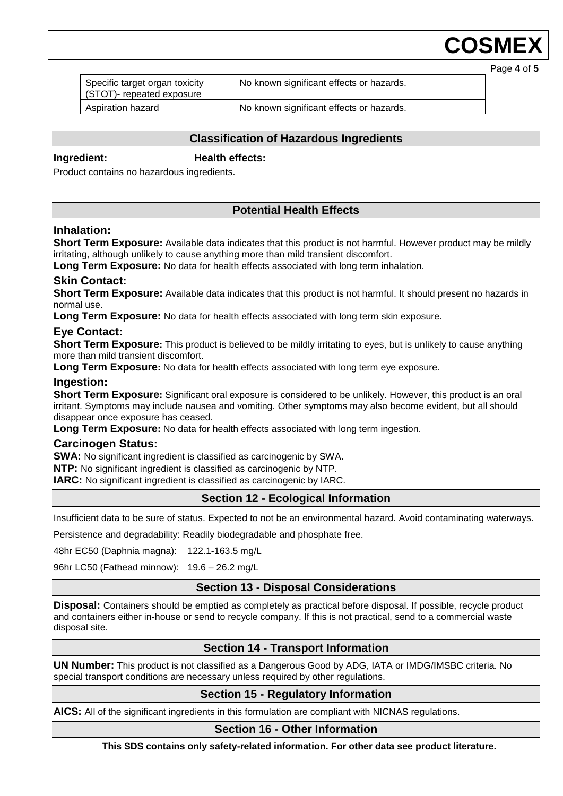Page **4** of **5**

| Specific target organ toxicity<br>(STOT)- repeated exposure | No known significant effects or hazards. |  |
|-------------------------------------------------------------|------------------------------------------|--|
| Aspiration hazard                                           | No known significant effects or hazards. |  |

### **Classification of Hazardous Ingredients**

### **Ingredient: Health effects:**

Product contains no hazardous ingredients.

# **Potential Health Effects**

#### **Inhalation:**

**Short Term Exposure:** Available data indicates that this product is not harmful. However product may be mildly irritating, although unlikely to cause anything more than mild transient discomfort.

**Long Term Exposure:** No data for health effects associated with long term inhalation.

### **Skin Contact:**

**Short Term Exposure:** Available data indicates that this product is not harmful. It should present no hazards in normal use.

**Long Term Exposure:** No data for health effects associated with long term skin exposure.

#### **Eye Contact:**

**Short Term Exposure:** This product is believed to be mildly irritating to eyes, but is unlikely to cause anything more than mild transient discomfort.

**Long Term Exposure:** No data for health effects associated with long term eye exposure.

#### **Ingestion:**

**Short Term Exposure:** Significant oral exposure is considered to be unlikely. However, this product is an oral irritant. Symptoms may include nausea and vomiting. Other symptoms may also become evident, but all should disappear once exposure has ceased.

**Long Term Exposure:** No data for health effects associated with long term ingestion.

#### **Carcinogen Status:**

**SWA:** No significant ingredient is classified as carcinogenic by SWA.

**NTP:** No significant ingredient is classified as carcinogenic by NTP.

**IARC:** No significant ingredient is classified as carcinogenic by IARC.

### **Section 12 - Ecological Information**

Insufficient data to be sure of status. Expected to not be an environmental hazard. Avoid contaminating waterways.

Persistence and degradability: Readily biodegradable and phosphate free.

48hr EC50 (Daphnia magna): 122.1-163.5 mg/L

96hr LC50 (Fathead minnow): 19.6 – 26.2 mg/L

### **Section 13 - Disposal Considerations**

**Disposal:** Containers should be emptied as completely as practical before disposal. If possible, recycle product and containers either in-house or send to recycle company. If this is not practical, send to a commercial waste disposal site.

# **Section 14 - Transport Information**

**UN Number:** This product is not classified as a Dangerous Good by ADG, IATA or IMDG/IMSBC criteria. No special transport conditions are necessary unless required by other regulations.

### **Section 15 - Regulatory Information**

**AICS:** All of the significant ingredients in this formulation are compliant with NICNAS regulations.

#### **Section 16 - Other Information**

**This SDS contains only safety-related information. For other data see product literature.**